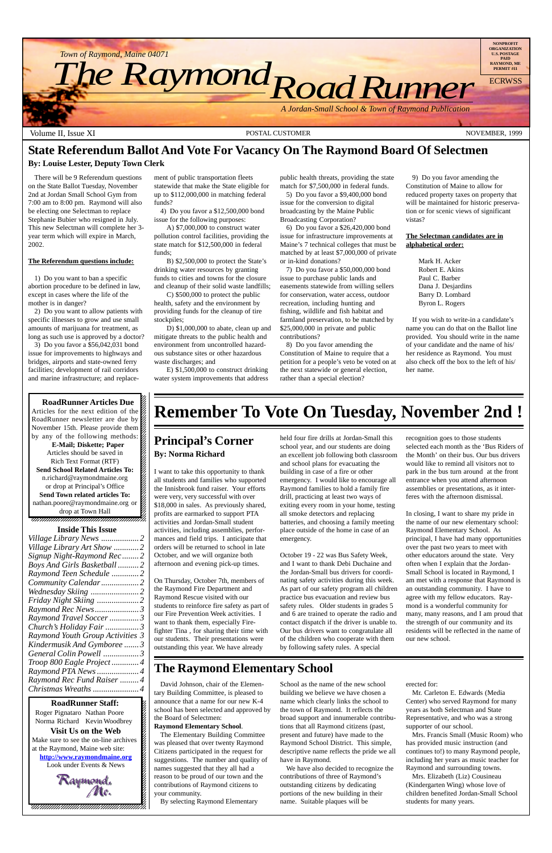12345678901234567890123456789012345678901234567890123456789012345678901234567890123456789012345678901234567890 12345678901234567890123456789012123456789012345678 12345678901234567890123456789012123456789012345678

**RoadRunner Staff:** 12345678901234567890123456789012123456789012345678 Roger Pignataro Nathan Poore & Norma Richard Kevin Woodbrey  $18.8$ **Visit Us on the Web** 12345678901234567890123456789012123456789012345678 Make sure to see the on-line archives  $\frac{8}{3}$ 12345678901234567890123456789012123456789012345678 at the Raymond, Maine web site:  $\frac{2}{3}$ **http://www.raymondmaine.org** Look under Events  $&$  News  $18.8$  8  $\pm$  8  $\pm$  8  $\pm$  8  $\pm$  8  $\pm$  8  $\pm$  8  $\pm$  8  $\pm$  8  $\pm$  8  $\pm$  8  $\pm$  8  $\pm$  8  $\pm$  8  $\pm$  8  $\pm$  8  $\pm$  8  $\pm$  8  $\pm$  8  $\pm$  8  $\pm$  8  $\pm$  8  $\pm$  8  $\pm$  8  $\pm$  8  $\pm$  8  $\pm$  8  $\pm$  8  $\pm$  8  $\pm$  8  $\pm$  8  $\$ 12345678901234567890123456789012123456789012345678 12345678901234567890123456789012123456789012345678

Raymond.<br>Me.

12345678901234567890123456789012123456789012345678 12345678901234567890123456789012123456789012345678 12345678901234567890123456789012123456789012345678

12345678901234567890123456789012123456789012345678  $18.8$  8  $\pm$  8  $\pm$  8  $\pm$  8  $\pm$  8  $\pm$  8  $\pm$  8  $\pm$  8  $\pm$  8  $\pm$  8  $\pm$  8  $\pm$  8  $\pm$  8  $\pm$  8  $\pm$  8  $\pm$  8  $\pm$  8  $\pm$  8  $\pm$  8  $\pm$  8  $\pm$  8  $\pm$  8  $\pm$  8  $\pm$  8  $\pm$  8  $\pm$  8  $\pm$  8  $\pm$  8  $\pm$  8  $\pm$  8  $\pm$  8  $\$ 12345678901234567890123456789012123456789012345678 , 123456789123456789123456789123456789123456789123



12345678901234567890123456789012123456789012345678

#### **Principal's Corner By: Norma Richard**

I want to take this opportunity to thank all students and families who supported the Innisbrook fund raiser. Your efforts were very, very successful with over \$18,000 in sales. As previously shared, profits are earmarked to support PTA activities and Jordan-Small student activities, including assemblies, performances and field trips. I anticipate that orders will be returned to school in late October, and we will organize both afternoon and evening pick-up times.

On Thursday, October 7th, members of the Raymond Fire Department and Raymond Rescue visited with our students to reinforce fire safety as part of our Fire Prevention Week activities. I want to thank them, especially Firefighter Tina , for sharing their time with our students. Their presentations were outstanding this year. We have already

held four fire drills at Jordan-Small this school year, and our students are doing an excellent job following both classroom and school plans for evacuating the building in case of a fire or other emergency. I would like to encourage all Raymond families to hold a family fire drill, practicing at least two ways of exiting every room in your home, testing all smoke detectors and replacing batteries, and choosing a family meeting place outside of the home in case of an emergency.

October 19 - 22 was Bus Safety Week, and I want to thank Debi Duchaine and the Jordan-Small bus drivers for coordinating safety activities during this week. As part of our safety program all children practice bus evacuation and review bus safety rules. Older students in grades 5 and 6 are trained to operate the radio and contact dispatch if the driver is unable to. Our bus drivers want to congratulate all of the children who cooperate with them by following safety rules. A special

recognition goes to those students selected each month as the 'Bus Riders of the Month' on their bus. Our bus drivers would like to remind all visitors not to park in the bus turn around at the front entrance when you attend afternoon assemblies or presentations, as it interferes with the afternoon dismissal.

In closing, I want to share my pride in the name of our new elementary school: Raymond Elementary School. As principal, I have had many opportunities over the past two years to meet with other educators around the state. Very often when I explain that the Jordan-Small School is located in Raymond, I am met with a response that Raymond is an outstanding community. I have to agree with my fellow educators. Raymond is a wonderful community for many, many reasons, and I am proud that the strength of our community and its

residents will be reflected in the name of our new school.

#### **Inside This Issue**

| Village Library Art Show 2   |  |
|------------------------------|--|
| Signup Night-Raymond Rec2    |  |
| Boys And Girls Basketball  2 |  |
| Raymond Teen Schedule 2      |  |
|                              |  |
|                              |  |
|                              |  |
| Raymond Rec News3            |  |
| Raymond Travel Soccer 3      |  |
|                              |  |

*Church's Holiday Fair ................3 Raymond Youth Group Activities 3 Kindermusik And Gymboree .......3 General Colin Powell .................3 Troop 800 Eagle Project .............4 Raymond PTA News ....................4 Raymond Rec Fund Raiser .........4 Christmas Wreaths ......................4*

# **State Referendum Ballot And Vote For Vacancy On The Raymond Board Of Selectmen**

#### **By: Louise Lester, Deputy Town Clerk**

There will be 9 Referendum questions on the State Ballot Tuesday, November 2nd at Jordan Small School Gym from 7:00 am to 8:00 pm. Raymond will also be electing one Selectman to replace Stephanie Bubier who resigned in July. This new Selectman will complete her 3 year term which will expire in March, 2002.

#### **The Referendum questions include:**

1) Do you want to ban a specific abortion procedure to be defined in law, except in cases where the life of the mother is in danger?

2) Do you want to allow patients with specific illnesses to grow and use small amounts of marijuana for treatment, as long as such use is approved by a doctor?

3) Do you favor a \$56,042,031 bond issue for improvements to highways and bridges, airports and state-owned ferry facilities; development of rail corridors and marine infrastructure; and replace-

> David Johnson, chair of the Elementary Building Committee, is pleased to announce that a name for our new K-4 school has been selected and approved by the Board of Selectmen:

#### **Raymond Elementary School**.

The Elementary Building Committee was pleased that over twenty Raymond Citizens participated in the request for suggestions. The number and quality of names suggested that they all had a reason to be proud of our town and the contributions of Raymond citizens to your community.

By selecting Raymond Elementary

School as the name of the new school building we believe we have chosen a name which clearly links the school to the town of Raymond. It reflects the broad support and innumerable contributions that all Raymond citizens (past, present and future) have made to the Raymond School District. This simple, descriptive name reflects the pride we all have in Raymond.

We have also decided to recognize the contributions of three of Raymond's outstanding citizens by dedicating portions of the new building in their name. Suitable plaques will be

erected for:

Mr. Carleton E. Edwards (Media Center) who served Raymond for many years as both Selectman and State Representative, and who was a strong supporter of our school.

Mrs. Francis Small (Music Room) who has provided music instruction (and continues to!) to many Raymond people, including her years as music teacher for Raymond and surrounding towns.

Mrs. Elizabeth (Liz) Cousineau (Kindergarten Wing) whose love of children benefited Jordan-Small School students for many years.

## **The Raymond Elementary School**

ment of public transportation fleets statewide that make the State eligible for up to \$112,000,000 in matching federal funds?

4) Do you favor a \$12,500,000 bond issue for the following purposes:

A) \$7,000,000 to construct water pollution control facilities, providing the state match for \$12,500,000 in federal funds;

B) \$2,500,000 to protect the State's drinking water resources by granting funds to cities and towns for the closure and cleanup of their solid waste landfills;

C) \$500,000 to protect the public health, safety and the environment by providing funds for the cleanup of tire stockpiles;

D) \$1,000,000 to abate, clean up and mitigate threats to the public health and environment from uncontrolled hazardous substance sites or other hazardous waste discharges; and

E) \$1,500,000 to construct drinking water system improvements that address public health threats, providing the state match for \$7,500,000 in federal funds.

5) Do you favor a \$9,400,000 bond issue for the conversion to digital broadcasting by the Maine Public Broadcasting Corporation?

6) Do you favor a \$26,420,000 bond issue for infrastructure improvements at Maine's 7 technical colleges that must be matched by at least \$7,000,000 of private or in-kind donations?

7) Do you favor a \$50,000,000 bond issue to purchase public lands and easements statewide from willing sellers for conservation, water access, outdoor recreation, including hunting and fishing, wildlife and fish habitat and farmland preservation, to be matched by \$25,000,000 in private and public contributions?

8) Do you favor amending the Constitution of Maine to require that a petition for a people's veto be voted on at the next statewide or general election, rather than a special election?

9) Do you favor amending the Constitution of Maine to allow for reduced property taxes on property that will be maintained for historic preservation or for scenic views of significant vistas?

#### **The Selectman candidates are in alphabetical order:**

Mark H. Acker Robert E. Akins Paul C. Barber Dana J. Desjardins Barry D. Lombard Byron L. Rogers

If you wish to write-in a candidate's name you can do that on the Ballot line provided. You should write in the name of your candidate and the name of his/ her residence as Raymond. You must also check off the box to the left of his/ her name.

#### **RoadRunner Articles Due** Articles for the next edition of the  $\mathscr{C}$  $1235678901234567890123456789012345678901234567890123456789012345678901234567890123456789012345678901234567890123456789012345678901234567890123456789012345678901234567890123456789012345678901234567890123456789012345678901$ RoadRunner newsletter are due by  $\%$  $1235678901234567890123456789012345678901234567890123456789012345678901234567890123456789012345678901234567890123456789012345678901234567890123456789012345678901234567890123456789012345678901234567890123456789012345678901$ November 15th. Please provide them  $\%$ by any of the following methods:  $\mathcal{L}$  $1235678901234567890123456789012345678901234567890123456789012345678901234567890123456789012345678901234567890123456789012345678901234567890123456789012345678901234567890123456789012345678901234567890123456789012345678901$ **E-Mail; Diskette; Paper** Articles should be saved in  $\mathscr{L}$ 12345678901234567890123456789012123456789012345678 Rich Text Format (RTF) **Send School Related Articles To:**  $1235678901234567890123456789012345678901234567890123456789012345678901234567890123456789012345678901234567890123456789012345678901234567890123456789012345678901234567890123456789012345678901234567890123456789012345678901$

n.richard@raymondmaine.org  $\boxtimes$  $1235678901234567890123456789012345678901234567890123456789012345678901234567890123456789012345678901234567890123456789012345678901234567890123456789012345678901234567890123456789012345678901234567890123456789012345678901$ or drop at Principal's Office  $\mathscr{L}$ **Send Town related articles To:**  $1235678901234567890123456789012345678901234567890123456789012345678901234567890123456789012345678901234567890123456789012345678901234567890123456789012345678901234567890123456789012345678901234567890123456789012345678901$ nathan.poore@raymondmaine.org or  $\mathscr{C}$ drop at Town Hall

# **Remember To Vote On Tuesday, November 2nd !**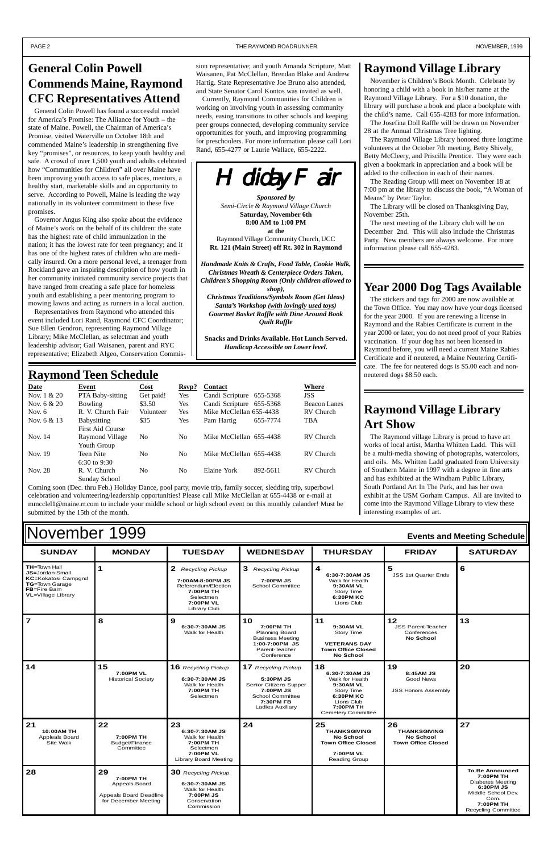#### $\blacksquare$   $\blacksquare$   $\blacksquare$   $\blacksquare$   $\blacksquare$   $\blacksquare$   $\blacksquare$   $\blacksquare$   $\blacksquare$   $\blacksquare$   $\blacksquare$   $\blacksquare$   $\blacksquare$   $\blacksquare$   $\blacksquare$   $\blacksquare$   $\blacksquare$   $\blacksquare$   $\blacksquare$   $\blacksquare$   $\blacksquare$   $\blacksquare$   $\blacksquare$   $\blacksquare$   $\blacksquare$   $\blacksquare$   $\blacksquare$   $\blacksquare$   $\blacksquare$   $\blacksquare$   $\blacksquare$   $\blacksquare$ **TH=**Town Hall **JS=**Jordan-Small **KC=**Kokatosi Campgnd **TG=**Town Garage **FB=**Fire Barn **VL**=Village Library **1 2** *Recycling Pickup* **7:00AM-8:00PM JS** Referendum/Election **7:00PM TH** Selectmen **7:00PM VL** Library Club **3** *Recycling Pickup* **7:00PM JS** School Committee **4 6:30-7:30AM JS** Walk for Health **9:30AM VL** Story Time **6:30PM KC** Lions Club **5** JSS 1st Quarter Ends **6** 7 8 9 **10 11 12 13** November 1999 **Events and Meeting Schedule**

|                                                  |                                              | 6:30-7:30AM JS<br>Walk for Health                                                                        | 7:00PM TH<br><b>Planning Board</b><br><b>Business Meeting</b><br>1:00-7:00PM JS<br>Parent-Teacher<br>Conference                            | 9:30AM VL<br>Story Time<br><b>VETERANS DAY</b><br><b>Town Office Closed</b><br><b>No School</b>                                         | <b>JSS Parent-Teacher</b><br>Conferences<br><b>No School</b>         |    |
|--------------------------------------------------|----------------------------------------------|----------------------------------------------------------------------------------------------------------|--------------------------------------------------------------------------------------------------------------------------------------------|-----------------------------------------------------------------------------------------------------------------------------------------|----------------------------------------------------------------------|----|
| 14                                               | 15<br>7:00PM VL<br><b>Historical Society</b> | <b>16</b> Recycling Pickup<br>6:30-7:30AM JS<br>Walk for Health<br>7:00PM TH<br>Selectmen                | <b>17</b> Recycling Pickup<br>5:30PM JS<br>Senior Citizens Supper<br>7:00PM JS<br><b>School Committee</b><br>7:30PM FB<br>Ladies Auxiliary | 18<br>6:30-7:30AM JS<br>Walk for Health<br>9:30AM VL<br>Story Time<br>6:30PM KC<br>Lions Club<br>7:00PM TH<br><b>Cemetery Committee</b> | 19<br>8:45 AM JS<br><b>Good News</b><br><b>JSS Honors Assembly</b>   | 20 |
| 21                                               | 22                                           | 23                                                                                                       | 24                                                                                                                                         | 25                                                                                                                                      | 26                                                                   | 27 |
| 10:00AM TH<br><b>Appleals Board</b><br>Site Walk | 7:00PM TH<br>Budget/Finance<br>Committee     | 6:30-7:30AM JS<br>Walk for Health<br>7:00PM TH<br>Selectmen<br>7:00PM VL<br><b>Library Board Meeting</b> |                                                                                                                                            | <b>THANKSGIVING</b><br><b>No School</b><br><b>Town Office Closed</b><br>7:00PM VL<br><b>Reading Group</b>                               | <b>THANKSGIVING</b><br><b>No School</b><br><b>Town Office Closed</b> |    |

#### **Raymond Village Library**

November is Children's Book Month. Celebrate by honoring a child with a book in his/her name at the Raymond Village Library. For a \$10 donation, the library will purchase a book and place a bookplate with the child's name. Call 655-4283 for more information. The Josefina Doll Raffle will be drawn on November

28 at the Annual Christmas Tree lighting.

The Raymond Village Library honored three longtime volunteers at the October 7th meeting, Betty Shively, Betty McCleery, and Priscilla Prentice. They were each given a bookmark in appreciation and a book will be added to the collection in each of their names.

The Reading Group will meet on November 18 at 7:00 pm at the library to discuss the book, "A Woman of Means" by Peter Taylor.

The Library will be closed on Thanksgiving Day, November 25th.

The next meeting of the Library club will be on December 2nd. This will also include the Christmas Party. New members are always welcome. For more information please call 655-4283.

## **Raymond Village Library Art Show**

The Raymond village Library is proud to have art works of local artist, Martha Whitten Ladd. This will be a multi-media showing of photographs, watercolors, and oils. Ms. Whitten Ladd graduated from University of Southern Maine in 1997 with a degree in fine arts and has exhibited at the Windham Public Library, South Portland Art In The Park, and has her own exhibit at the USM Gorham Campus. All are invited to come into the Raymond Village Library to view these interesting examples of art.

### **Raymond Teen Schedule**

| Date          | Event                                         | Cost           | Rsvp?          | <b>Contact</b>           | Where               |
|---------------|-----------------------------------------------|----------------|----------------|--------------------------|---------------------|
| Nov. $1 & 20$ | <b>PTA Baby-sitting</b>                       | Get paid!      | <b>Yes</b>     | Candi Scripture 655-5368 | <b>JSS</b>          |
| Nov. $6 & 20$ | Bowling                                       | \$3.50         | <b>Yes</b>     | Candi Scripture 655-5368 | <b>Beacon Lanes</b> |
| Nov. $6$      | R. V. Church Fair                             | Volunteer      | <b>Yes</b>     | Mike McClellan 655-4438  | RV Church           |
| Nov. $6 & 13$ | <b>Babysitting</b><br><b>First Aid Course</b> | \$35           | <b>Yes</b>     | 655-7774<br>Pam Hartig   | <b>TBA</b>          |
| Nov. 14       | Raymond Village<br>Youth Group                | No.            | N <sub>0</sub> | Mike McClellan 655-4438  | RV Church           |
| Nov. 19       | Teen Nite<br>$6:30$ to 9:30                   | N <sub>0</sub> | No             | Mike McClellan 655-4438  | RV Church           |
| Nov. 28       | R. V. Church<br>Sunday School                 | No             | No.            | Elaine York<br>892-5611  | RV Church           |

Coming soon (Dec. thru Feb.) Holiday Dance, pool party, movie trip, family soccer, sledding trip, superbowl celebration and volunteering/leadership opportunities! Please call Mike McClellan at 655-4438 or e-mail at mmcclel1@maine.rr.com to include your middle school or high school event on this monthly calander! Must be submitted by the 15th of the month.

## **Year 2000 Dog Tags Available**

The stickers and tags for 2000 are now available at the Town Office. You may now have your dogs licensed for the year 2000. If you are renewing a license in Raymond and the Rabies Certificate is current in the year 2000 or later, you do not need proof of your Rabies vaccination. If your dog has not been licensed in Raymond before, you will need a current Maine Rabies Certificate and if neutered, a Maine Neutering Certificate. The fee for neutered dogs is \$5.00 each and nonneutered dogs \$8.50 each.

## **General Colin Powell Commends Maine, Raymond CFC Representatives Attend**

General Colin Powell has found a successful model for America's Promise: The Alliance for Youth – the state of Maine. Powell, the Chairman of America's Promise, visited Waterville on October 18th and commended Maine's leadership in strengthening five key "promises", or resources, to keep youth healthy and safe. A crowd of over 1,500 youth and adults celebrated how "Communities for Children" all over Maine have been improving youth access to safe places, mentors, a healthy start, marketable skills and an opportunity to serve. According to Powell, Maine is leading the way nationally in its volunteer commitment to these five promises.

Governor Angus King also spoke about the evidence of Maine's work on the behalf of its children: the state has the highest rate of child immunization in the nation; it has the lowest rate for teen pregnancy; and it has one of the highest rates of children who are medically insured. On a more personal level, a teenager from Rockland gave an inspiring description of how youth in her community initiated community service projects that have ranged from creating a safe place for homeless youth and establishing a peer mentoring program to mowing lawns and acting as runners in a local auction.

Representatives from Raymond who attended this event included Lori Rand, Raymond CFC Coordinator; Sue Ellen Gendron, representing Raymond Village Library; Mike McClellan, as selectman and youth leadership advisor; Gail Waisanen, parent and RYC representative; Elizabeth Algeo, Conservation Commis-



**Saturday, November 6th 8:00 AM to 1:00 PM at the** Raymond Village Community Church, UCC **Rt. 121 (Main Street) off Rt. 302 in Raymond**

*Handmade Knits & Crafts, Food Table, Cookie Walk, Christmas Wreath & Centerpiece Orders Taken, Children's Shopping Room (Only children allowed to shop), Christmas Traditions/Symbols Room (Get Ideas) Santa's Workshop (with lovingly used toys) Gourmet Basket Raffle with Dine Around Book*

*Quilt Raffle*

**Snacks and Drinks Available. Hot Lunch Served.** *Handicap Accessible on Lower level.*

#### PAGE 2 THE RAYMOND ROADRUNNER THE RAYMOND ROADRUNNER THE RAYMOND ROADRUNNER THE RAYMOND ROADRUNNER

sion representative; and youth Amanda Scripture, Matt Waisanen, Pat McClellan, Brendan Blake and Andrew Hartig. State Representative Joe Bruno also attended, and State Senator Carol Kontos was invited as well.

Currently, Raymond Communities for Children is working on involving youth in assessing community needs, easing transitions to other schools and keeping peer groups connected, developing community service opportunities for youth, and improving programming for preschoolers. For more information please call Lori

Rand, 655-4277 or Laurie Wallace, 655-2222.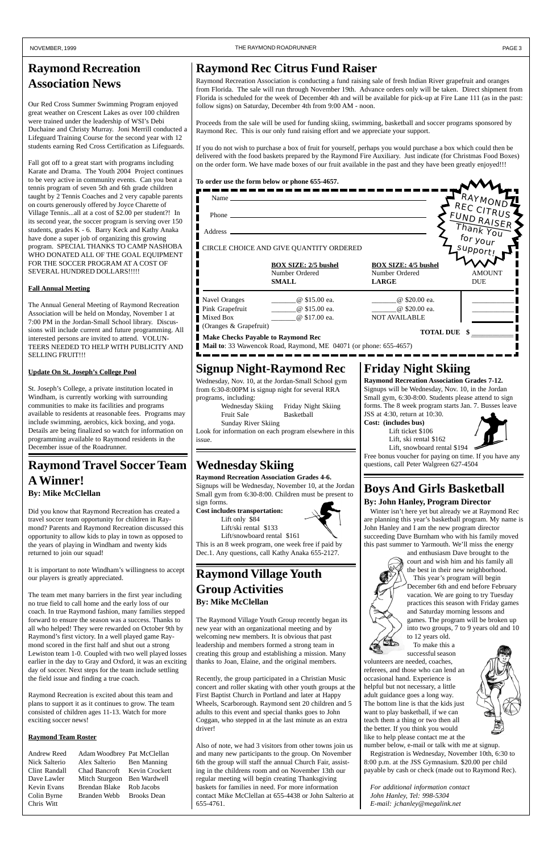$\Delta A$ 

## **Boys And Girls Basketball**

#### **By: John Hanley, Program Director**

Winter isn't here yet but already we at Raymond Rec are planning this year's basketball program. My name is John Hanley and I am the new program director succeeding Dave Burnham who with his family moved this past summer to Yarmouth. We'll miss the energy



and enthusiasm Dave brought to the court and wish him and his family all the best in their new neighborhood. This year's program will begin December 6th and end before February vacation. We are going to try Tuesday practices this season with Friday games and Saturday morning lessons and games. The program will be broken up into two groups, 7 to 9 years old and 10 to 12 years old. To make this a successful season



volunteers are needed, coaches, referees, and those who can lend an occasional hand. Experience is helpful but not necessary, a little adult guidance goes a long way. The bottom line is that the kids just want to play basketball, if we can teach them a thing or two then all the better. If you think you would like to help please contact me at the



number below, e-mail or talk with me at signup. Registration is Wednesday, November 10th, 6:30 to 8:00 p.m. at the JSS Gymnasium. \$20.00 per child payable by cash or check (made out to Raymond Rec).

*For additional information contact John Hanley, Tel: 998-5304 E-mail: jchanley@megalink.net*

## **Raymond Recreation Association News**

Our Red Cross Summer Swimming Program enjoyed great weather on Crescent Lakes as over 100 children were trained under the leadership of WSI's Debi Duchaine and Christy Murray. Joni Merrill conducted a Lifeguard Training Course for the second year with 12 students earning Red Cross Certification as Lifeguards.

Fall got off to a great start with programs including Karate and Drama. The Youth 2004 Project continues to be very active in community events. Can you beat a tennis program of seven 5th and 6th grade children taught by 2 Tennis Coaches and 2 very capable parents on courts generously offered by Joyce Charette of Village Tennis...all at a cost of \$2.00 per student?! In its second year, the soccer program is serving over 150 students, grades K - 6. Barry Keck and Kathy Anaka have done a super job of organizing this growing program. SPECIAL THANKS TO CAMP NASHOBA WHO DONATED ALL OF THE GOAL EQUIPMENT FOR THE SOCCER PROGRAM AT A COST OF SEVERAL HUNDRED DOLLARS!!!!!

#### **Fall Annual Meeting**

The Annual General Meeting of Raymond Recreation Association will be held on Monday, November 1 at 7:00 PM in the Jordan-Small School library. Discussions will include current and future programming. All interested persons are invited to attend. VOLUN-TEERS NEEDED TO HELP WITH PUBLICITY AND SELLING FRUIT!!!

#### **Update On St. Joseph's College Pool**

Wednesday Skiing Friday Night Skiing Fruit Sale Basketball Sunday River Skiing

St. Joseph's College, a private institution located in Windham, is currently working with surrounding communities to make its facilities and programs available to residents at reasonable fees. Programs may include swimming, aerobics, kick boxing, and yoga. Details are being finalized so watch for information on programming available to Raymond residents in the December issue of the Roadrunner.

## **Raymond Travel Soccer Team A Winner! By: Mike McClellan**

Did you know that Raymond Recreation has created a travel soccer team opportunity for children in Raymond? Parents and Raymond Recreation discussed this opportunity to allow kids to play in town as opposed to the years of playing in Windham and twenty kids returned to join our squad!

It is important to note Windham's willingness to accept our players is greatly appreciated.

The team met many barriers in the first year including no true field to call home and the early loss of our coach. In true Raymond fashion, many families stepped forward to ensure the season was a success. Thanks to all who helped! They were rewarded on October 9th by Raymond's first victory. In a well played game Raymond scored in the first half and shut out a strong Lewiston team 1-0. Coupled with two well played losses earlier in the day to Gray and Oxford, it was an exciting day of soccer. Next steps for the team include settling the field issue and finding a true coach.

Raymond Recreation is excited about this team and plans to support it as it continues to grow. The team consisted of children ages 11-13. Watch for more exciting soccer news!

#### **Raymond Team Roster**

| Andrew Reed   | Adam Woodbrey Pat McClellan  |                    |
|---------------|------------------------------|--------------------|
| Nick Salterio | Alex Salterio                | Ben Manning        |
| Clint Randall | Chad Bancroft Kevin Crockett |                    |
| Dave Lawler   | Mitch Sturgeon               | Ben Wardwell       |
| Kevin Evans   | Brendan Blake                | Rob Jacobs         |
| Colin Byrne   | Branden Webb                 | <b>Brooks Dean</b> |
| Chris Witt    |                              |                    |

## **Raymond Village Youth Group Activities By: Mike McClellan**

The Raymond Village Youth Group recently began its new year with an organizational meeting and by welcoming new members. It is obvious that past leadership and members formed a strong team in creating this group and establishing a mission. Many thanks to Joan, Elaine, and the original members.

Recently, the group participated in a Christian Music concert and roller skating with other youth groups at the First Baptist Church in Portland and later at Happy Wheels, Scarborough. Raymond sent 20 children and 5 adults to this event and special thanks goes to John Coggan, who stepped in at the last minute as an extra driver!

Also of note, we had 3 visitors from other towns join us and many new participants to the group. On November 6th the group will staff the annual Church Fair, assisting in the childrens room and on November 13th our regular meeting will begin creating Thanksgiving baskets for families in need. For more information contact Mike McClellan at 655-4438 or John Salterio at 655-4761.



## **Signup Night-Raymond Rec**

Wednesday, Nov. 10, at the Jordan-Small School gym from 6:30-8:00PM is signup night for several RRA programs, including:

Look for information on each program elsewhere in this issue.

## **Wednesday Skiing questions, call Peter Walgreen 627-4504**

## **Friday Night Skiing**

**Raymond Recreation Association Grades 7-12.** Signups will be Wednesday, Nov. 10, in the Jordan Small gym, 6:30-8:00. Students please attend to sign forms. The 8 week program starts Jan. 7. Busses leave JSS at 4:30, return at 10:30.

**Cost: (includes bus)**

Lift ticket \$106 Lift, ski rental \$162 Lift, snowboard rental \$194



Free bonus voucher for paying on time. If you have any

**Raymond Recreation Association Grades 4-6.** Signups will be Wednesday, November 10, at the Jordan Small gym from 6:30-8:00. Children must be present to sign forms.

**Cost includes transportation:** Lift only \$84

Lift/ski rental \$133

Lift/snowboard rental \$161 This is an 8 week program, one week free if paid by

Dec.1. Any questions, call Kathy Anaka 655-2127.

**Make Checks Payable to Raymond Rec**

\_\_\_\_\_\_\_\_\_\_\_\_

1. m

**Mail to**: 33 Wawencok Road, Raymond, ME 04071 (or phone: 655-4657)

| Name_                               |                                         |                             | RAYMOND                   |
|-------------------------------------|-----------------------------------------|-----------------------------|---------------------------|
| Phone $\overline{\phantom{a}}$      |                                         |                             | REC CITRUS<br>FUND RAISER |
| Address _                           |                                         |                             | Thank You                 |
|                                     | CIRCLE CHOICE AND GIVE QUANTITY ORDERED |                             | for your<br>Support!      |
|                                     | <b>BOX SIZE: 2/5 bushel</b>             | <b>BOX SIZE: 4/5 bushel</b> |                           |
|                                     | Number Ordered                          | Number Ordered              | <b>AMOUNT</b>             |
|                                     | <b>SMALL</b>                            | <b>LARGE</b>                | <b>DUE</b>                |
| <b>Navel Oranges</b>                | @ \$15.00 ea.                           | @ \$20.00 ea.               |                           |
| Pink Grapefruit                     | @ \$15.00 ea.                           | @ \$20.00 ea.               |                           |
| Mixed Box                           | @ \$17.00 ea.                           | <b>NOT AVAILABLE</b>        |                           |
| (Oranges & Grapefruit)              |                                         |                             |                           |
| Make Cheeks Develope to Devmand Dee |                                         | <b>TOTAL DUE</b>            |                           |

## **Raymond Rec Citrus Fund Raiser**

Raymond Recreation Association is conducting a fund raising sale of fresh Indian River grapefruit and oranges from Florida. The sale will run through November 19th. Advance orders only will be taken. Direct shipment from Florida is scheduled for the week of December 4th and will be available for pick-up at Fire Lane 111 (as in the past: follow signs) on Saturday, December 4th from 9:00 AM - noon.

Proceeds from the sale will be used for funding skiing, swimming, basketball and soccer programs sponsored by Raymond Rec. This is our only fund raising effort and we appreciate your support.

If you do not wish to purchase a box of fruit for yourself, perhaps you would purchase a box which could then be delivered with the food baskets prepared by the Raymond Fire Auxiliary. Just indicate (for Christmas Food Boxes) on the order form. We have made boxes of our fruit available in the past and they have been greatly enjoyed!!!

#### **To order use the form below or phone 655-4657.**